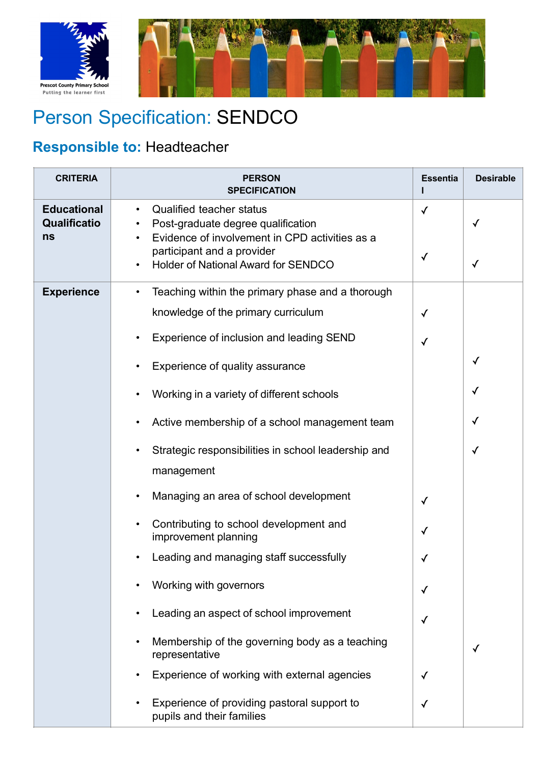



## Person Specification: SENDCO

## **Responsible to:** Headteacher

| <b>CRITERIA</b>                          | <b>PERSON</b><br><b>SPECIFICATION</b>                                                                                                                                                                                                                                                                                                                                                                                                                                                                                                                                                                                                                                                                  | <b>Essentia</b>                                                                   | <b>Desirable</b>                 |
|------------------------------------------|--------------------------------------------------------------------------------------------------------------------------------------------------------------------------------------------------------------------------------------------------------------------------------------------------------------------------------------------------------------------------------------------------------------------------------------------------------------------------------------------------------------------------------------------------------------------------------------------------------------------------------------------------------------------------------------------------------|-----------------------------------------------------------------------------------|----------------------------------|
| <b>Educational</b><br>Qualificatio<br>ns | <b>Qualified teacher status</b><br>$\bullet$<br>Post-graduate degree qualification<br>Evidence of involvement in CPD activities as a<br>participant and a provider<br>Holder of National Award for SENDCO                                                                                                                                                                                                                                                                                                                                                                                                                                                                                              | $\checkmark$<br>$\checkmark$                                                      | ✓<br>✓                           |
| <b>Experience</b>                        | Teaching within the primary phase and a thorough<br>$\bullet$<br>knowledge of the primary curriculum<br>Experience of inclusion and leading SEND<br>Experience of quality assurance<br>Working in a variety of different schools<br>Active membership of a school management team<br>Strategic responsibilities in school leadership and<br>management<br>Managing an area of school development<br>Contributing to school development and<br>improvement planning<br>Leading and managing staff successfully<br>Working with governors<br>Leading an aspect of school improvement<br>Membership of the governing body as a teaching<br>representative<br>Experience of working with external agencies | $\checkmark$<br>✓<br>$\checkmark$<br>$\checkmark$<br>$\checkmark$<br>$\checkmark$ | $\checkmark$<br>✓<br>✓<br>✓<br>√ |
|                                          | Experience of providing pastoral support to<br>pupils and their families                                                                                                                                                                                                                                                                                                                                                                                                                                                                                                                                                                                                                               | $\checkmark$                                                                      |                                  |